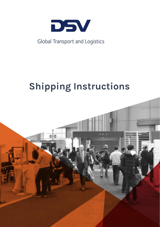

# Global Transport and Logistics

# **Shipping Instructions**

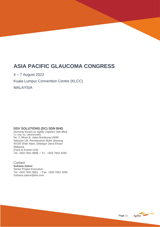# **ASIA PACIFIC GLAUCOMA CONGRESS**

4 – 7 August 2022

Kuala Lumpur Convention Centre (KLCC)

MALAYSIA

## **DSV SOLUTIONS (DC) SDN BHD**

*(formerly known as Agility Logistics Sdn Bhd)* Co. Reg. No. 198301015855 No. 2, Block B, Jalan Bumbung U8/90 Seksyen U8, Perindustrian Bukit Jelutong 40150 Shah Alam, Selangor Darul Ehsan Malaysia (Fairs & Events Unit) Tel. +603 7841 8888 / Fx : +603 7842 3295

Contact: **Suhaiza Zainor** Senior Project Executive Tel. +603 7841 8861 • Fax. +603 7842 3295 Suhaiza.zainor@dsv.com



Consignment Instructions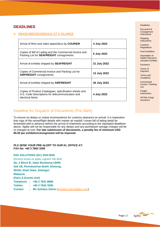## **DEADLINES**

## **a. DEADLINES/SCHEDULE AT A GLANCE**

| Arrival of films and video tapes/discs by <b>COURIER</b>                                                                       | 4 July 2022         |
|--------------------------------------------------------------------------------------------------------------------------------|---------------------|
| Copies of Bill of Lading and the Commercial Invoice and<br>Packing List for <b>SEAFREIGHT</b> consignments                     | 6 July 2022         |
| Arrival of exhibits shipped by <b>SEAFREIGHT</b>                                                                               | 21 July 2022        |
| Copies of Commercial Invoice and Packing List for<br><b>AIRFREIGHT</b> consignments                                            | <b>12 July 2022</b> |
| Arrival of exhibits shipped by <b>AIRFREIGHT</b>                                                                               | 26 July 2022        |
| Copies of Product Catalogues, specification sheets and<br>H.S. Code Descriptions for telecommunication and<br>electrical Items | 4 July 2022         |

## Deadline for Dispatch of Documents (Pre-Alert)

To ensure no delays or undue inconvenience for customs clearance on arrival, it is imperative that copy of the vessel/flight details with master air waybill / ocean bill of lading detail be forwarded well in advance before the arrival of shipments according to the stipulated deadlines above. Agility will not be responsible for any delays and any port/airport storage charges will be re-charged at cost. **For late submission of documents, a penalty fee of minimum USD 85.00 per exhibitor/consignment will be imposed.**

#### *PLS SEND YOUR PRE-ALERT TO OUR KL OFFICE AT: FAX No: +60 3 7842 3295*

**DSV SOLUTIONS (DC) SDN BHD** *(formerly known as Agility Logistics Sdn Bhd)* **No. 2 Block B, Jalan Bumbung U8/90, Sek U8, Perindustrian Bukit Jelutong, 40150, Shah Alam, Selangor. Malaysia. (Fairs & Events Unit) Telephone : +60 3 7841 8888 Telefax : +60 3 7842 3295 Contact : Ms Suhaiza Zainor (**[suhaiza.zainor@dsv.com](mailto:suhaiza.zainor@dsv.com)**)**

#### Deadlines

Document & **Consignment Instructions** 

Shipping **Instructions** 

Customs **Regulations** 

Post Exhibition

Importation of Radio/Telecomm unication Exhibits

**Insurance** 

Terms of Payment

[Terms and](#page-8-0) **[Conditions](#page-8-0)** 

**Commercial** [Invoice / Packing](#page-9-0)  [List](#page-9-0)

**Freight [Instructions](#page-11-0)** 

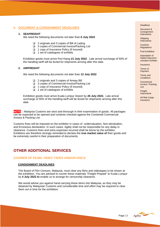## **b. DOCUMENT & CONSIGNMENT DEADLINES**

#### **1. SEAFREIGHT**

We need the following documents not later than **6 July 2022**

- ❑ 2 originals and 3 copies of Bill of Lading
- ❑ 3 copies of Commercial Invoice/Packing List
- ❑ 1 copy of Insurance Policy (if insured)
- ❑ 1 set of catalogues of exhibits

Exhibition goods must arrive Port Klang **21 July 2022**. Late arrival surcharge of 50% of the handling tariff will be levied for shipments arriving after this date.

#### **2. AIRFREIGHT**

We need the following documents not later than **12 July 2022**

- ❑ 2 originals and 3 copies of Airway Bill
- ❑ 3 copies of Commercial Invoice/Packing List
- ❑ 1 copy of Insurance Policy (if insured)
- ❑ 1 set of catalogues of exhibits

Exhibition goods must arrive Kuala Lumpur Airport by **26 July 2022.** Late arrival surcharge of 50% of the handling tariff will be levied for shipments arriving after this date.

**NOTE :** Malaysia Customs are strict and thorough in their examination of goods. All packages can be expected to be opened and contents checked against the Combined Commercial Invoice & Packing List.

Customs fines will be imposed on the exhibitor in cases of undervaluation, Non-declaration, and Erroneous declaration. In such cases, Agility shall not be responsible for any delay in clearance. Customs fines and extra expenses incurred shall be borne by the exhibitor. Exhibitors are therefore strongly reminded to declare the **true market value of** their goods and be extremely careful in their preparation of documents.

## **OTHER ADDITIONAL SERVICES**

#### **COURIER OF FILMS, VIDEO TAPES AND/OR DISCS**

#### **CONSIGNMENT DEADLINES**

The Board of Film Censors, Malaysia, must clear any films and videotapes to be shown at the exhibition. You are advised to courier these materials "Freight Prepaid" to Kuala Lumpur by **4 July 2022 to** enable us to arrange for censorship clearance.

We would advise you against hand-carrying these items into Malaysia, as they may be detained by Malaysian Customs and considerable time and effort may be required to clear them out in time for the exhibition.

#### Deadlines

Document & **Consignment Instructions** 

Shipping **Instructions** 

Customs **Regulations** 

Post Exhibition

Importation of Radio/Telecomm unication Exhibits

**Insurance** 

Terms of Payment

[Terms and](#page-8-0) **[Conditions](#page-8-0)** 

**Commercial** [Invoice / Packing](#page-9-0)  [List](#page-9-0)

**Freight [Instructions](#page-11-0)** 

**All Risk Cargo [Insurance](#page-13-0)** 

Agility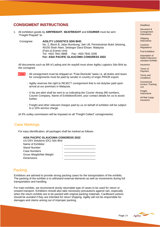## **CONSIGMENT INSTRUCTIONS**

1. All exhibition goods by **AIRFREIGHT**, **SEAFREIGHT** and **COURIER** must be sent "Freight Prepaid" to:

 Consignee: **AGILITY LOGISTICS SDN BHD** No. 2, Block B, Jalan Bumbung, Sek U8, Perindustrian Bukit Jelutong, 40150 Shah Alam, Selangor Darul Ehsan. Malaysia (Fairs & Events Unit) Tel: +603 7841 8888 Fax: +603 7842 3295 **For: ASIA PACIFIC GLAUCOMA CONGRESS 2022**

All documents such as Bill of Lading and Air waybill must show Agility Logistics Sdn Bhd as the consignee.

- **NOTE** : All consignment must be shipped on "Free-Domicile" basis i.e. all duties and taxes for consignments must be paid by sender in country of origin PRIOR export.
	- : Agility reserves the right to REJECT consignment that is not duty/tax paid upon arrival at our premises in Malaysia.
	- : A fax pre-alert shall be sent to us indicating the Courier Airway Bill numbers, Courier Company, Name of Exhibition/Event, your contact details for us to assist further.
	- : Freight and other relevant charges paid by us on behalf of exhibitor will be subject to a 10% service charge.

(A 5% outlay commission will be imposed on all "Freight Collect" consignments).

## Case Markings

For easy identification, all packages shall be marked as follows:

## **ASIA PACIFIC GLAUCOMA CONGRESS 2022**

| c/o DSV Solutions (DC) Sdn Bhd |   |
|--------------------------------|---|
| Name of Exhibitor              |   |
| <b>Stand Number</b>            |   |
| <b>Case Numbers</b>            |   |
| Gross Weight/Net Weight        | ٠ |
| <b>Dimensions</b>              |   |

## **Packing**

Exhibitors are advised to provide strong packing cases for the transportation of the exhibits. The packing of the exhibits is to withstand external elements as well as movements during full transportation and handling.

For main exhibits, we recommend sturdy returnable type of cases to be used for return or onward transport. Exhibitors should also take necessary precautions against rain, especially when the return exhibits are to be packed with original packing materials. Cardboard cartons should be avoided if they are intended for return shipping. Agility will not be responsible for damages and claims arising out of improper packing.

#### Deadlines

Document & **Consignment Instructions** 

Shipping **Instructions** 

Customs **Regulations** 

Post Exhibition

Importation of Radio/Telecomm unication Exhibits

**Insurance** 

Terms of Payment

[Terms and](#page-8-0) **[Conditions](#page-8-0)** 

**Commercial** [Invoice / Packing](#page-9-0)  [List](#page-9-0)

**Freight [Instructions](#page-11-0)** 

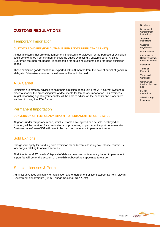## **CUSTOMS REGULATIONS**

## Temporary Importation

#### **CUSTOMS BOND FEE (FOR DUTIABLE ITEMS NOT UNDER ATA CARNET)**

All dutiable items that are to be temporarily imported into Malaysia for the purpose of exhibition could be exempted from payment of customs duties by placing a customs bond. A Bank Guarantee fee (non-refundable) is chargeable for obtaining customs bond for these exhibition goods.

These exhibition goods must be re-exported within 3 months from the date of arrival of goods in Malaysia. Otherwise, customs duties/taxes will have to be paid.

## ATA Carnet

Exhibitors are strongly advised to ship their exhibition goods using the ATA Carnet System in order to shorten the processing time of documents for temporary importation. Our overseas freight forwarding agent in your country will be able to advice on the benefits and procedures involved in using the ATA Carnet.

## Permanent Importation

#### **CONVERSION OF TEMPORARY-IMPORT TO PERMANENT-IMPORT STATUS**

All goods under temporary import, which customs have agreed can be sold, destroyed or donated, will be detained for examination and processing of permanent import documentation. Customs duties/taxes/GST will have to be paid on conversion to permanent import.

## Sold Exhibits

Charges will apply for handling from exhibition stand to venue loading bay. Please contact us for charges relating to onward services.

All duties/taxes/GST payable/disposal of debris/conversion of temporary import to permanent import fee will be for the account of the exhibitor/buyer/their appointed forwarder.

## Special Licenses & Permits

Administrative fees will apply for application and endorsement of licenses/permits from relevant Government departments (Sirim, Tenaga Nasional, STA & etc).

#### Deadlines

Document & **Consignment Instructions** 

Shipping **Instructions** 

Customs **Regulations** 

Post Exhibition

Importation of Radio/Telecomm unication Exhibits

**Insurance** 

Terms of Payment

[Terms and](#page-8-0) **[Conditions](#page-8-0)** 

**Commercial** [Invoice / Packing](#page-9-0)  [List](#page-9-0)

**Freight [Instructions](#page-11-0)** 

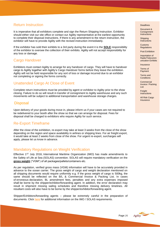## Return Instruction

It is imperative that all exhibitors complete and sign the Return Shipping Instruction. Exhibitor should either visit our site office or contact our Agility representative at the earliest opportunity to complete their disposal instructions. If there is any amendment to the return instruction, the exhibitor will have to provide Agility with the revised instruction immediately.

If the exhibitor has sold their exhibits to a 3rd party during the event it is the **SOLE** responsibility of the exhibitor to oversee the collection of their exhibits. Agility will not accept responsibility for any loss or damage.

## Cargo Handover

Exhibitors must contact Agility to arrange for any handover of cargo. They will have to handover cargo to Agility together with Agility's Cargo Handover forms before they leave the exhibition. Agility will not be held responsible for any sort of loss or damage incurred due to an exhibitor not completing or signing the forms correctly.

## Unattended Cargo At Close of Event

Complete return instructions must be provided by agent or exhibitor to Agility prior to the show closing. Failure to do so will result in transfer of consignment to Agility warehouse and any such movements will be subject to additional transportation and warehouse storage charges.

## **Disposal**

Upon delivery of your goods during move in, please inform us if your cases are not required to be redelivered to your booth after the show so that we can arrange for disposal. Fees for disposal shall be charged to exhibitors who require Agility for such service.

## Re-Export Timeframe

After the close of the exhibition, re-export may take at least 3 weeks from the close of the show depending on the region and space availability in airlines or shipping lines. For air freight export, it would take at least 2 weeks from close of the show. For urgent re-export, surcharges will apply, please let us know in advance.

## Mandatory Regulations on Weight Verification

Effective  $1^{ST}$  July 2016, International Maritime Organization (IMO) has made amendments to the Safety of Life at Sea (SOLAS) convention. SOLAS will require mandatory verification on the **gross weight** ("VGM") of all packages/pallets/containers etc.

As per regulation, verified gross mass (VGM) information will have to be accurately provided in advance to the ocean carrier. The gross weight of cargo and weight declaration mentioned on all shipping documents would require uniformity e.g. If the gross weight of cargo is 500kg, the same should be reflected on the B/L & Commercial Invoice & Packing List. In cases of erroneous declaration, BL amendment fees, penalties and any extra expenses imposed shall be borne by the shipper/exhibitor/forwarding agent. In addition, the error declaration may result in shipment missing sailing schedules and therefore missing delivery timelines. All resultant costs will also have to be borne by the shipper/exhibitor/forwarding agent.

Shipper/Exhibitors/forwarding agents – please be extremely careful in the preparation of documents. Click [here](http://www.worldshipping.org/industry-issues/safety/cargo-weight) for additional information on the IMO / SOLAS requirements.

#### Deadlines

Document & **Consignment Instructions** 

Shipping **Instructions** 

Customs **Regulations** 

Post Exhibition

Importation of Radio/Telecomm unication Exhibits

**Insurance** 

Terms of Payment

[Terms and](#page-8-0) **[Conditions](#page-8-0)** 

**Commercial** [Invoice / Packing](#page-9-0)  [List](#page-9-0)

Freight **[Instructions](#page-11-0)**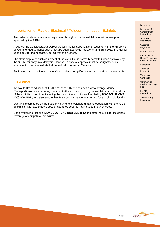## Importation of Radio / Electrical / Telecommunication Exhibits

Any radio or telecommunication equipment brought in for the exhibition must receive prior approval by the SIRIM.

A copy of the exhibit catalogue/brochure with the full specifications, together with the full details of your intended demonstrations must be submitted to us not later than **4 July 2022** in order for us to apply for the necessary permit with the Authority.

The static display of such equipment at the exhibition is normally permitted when approved by the SIRIM, for entry into Malaysia. However, a special approval must be sought for such equipment to be demonstrated at the exhibition or within Malaysia.

Such telecommunication equipment's should not be uplifted unless approval has been sought.

## **Insurance**

We would like to advise that it is the responsibility of each exhibitor to arrange Marine (Transport) Insurance covering transport to the exhibition, during the exhibition, and the return of the exhibits to domicile, including the period the exhibits are handled by **DSV SOLUTIONS (DC) SDN BHD**, and also ensure that Transport Insurance in arranged for exhibits sold locally.

Our tariff is computed on the basis of volume and weight and has no correlation with the value of exhibits, it follows that the cost of insurance cover is not included in our charges.

Upon written instructions, **DSV SOLUTIONS (DC) SDN BHD** can offer the exhibitor insurance coverage at competitive premiums.

#### Deadlines

Document & **Consignment Instructions** 

Shipping **Instructions** 

Customs **Regulations** 

Post Exhibition

Importation of Radio/Telecomm unication Exhibits

**Insurance** 

Terms of Payment

[Terms and](#page-8-0) **[Conditions](#page-8-0)** 

**Commercial** [Invoice / Packing](#page-9-0)  [List](#page-9-0)

**Freight [Instructions](#page-11-0)** 

**All Risk Cargo [Insurance](#page-13-0)** 



Page | 7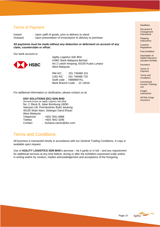## Terms of Payment

Inward : Upon uplift of goods, prior to delivery to stand

Outward : Upon presentation of invoice/prior to delivery to premises

**All payments must be made without any deduction or deferment on account of any claim, counterclaim or offset.**

Our bank account is:

<span id="page-8-1"></span>

Agility Logistics Sdn Bhd HSBC Bank Malaysia Berhad No 2 Leboh Ampang, 50100 Kuala Lumpur West Malaysia

RM A/C : 201 749488 101 USD A/C : 201 749488 725 Swift code : HBMBMYKL Bank Branch Code : 22 14016

For additional information or clarification, please contact us at:

#### **DSV SOLUTIONS (DC) SDN BHD**

*(formerly known as Agility Logistics Sdn Bhd)* No. 2, Block B, Jalan Bumbung U8/90 Seksyen U8, Perindustrian Bukit Jelutong 40150 Shah Alam, Selangor Darul Ehsan West Malaysia Telephone : +603 7841 8888 Telefax : +603 7842 3295 Contact : Suhaiza.zainor@dsv.com

## <span id="page-8-0"></span>Terms and Conditions

All business is transacted strictly in accordance with our General Trading Conditions. A copy is available upon request.

Use of **AGILITY LOGISTICS SDN BHD**'s services – be it partly or in full – and any requirement for additional services at any time before, during or after the exhibition expressed orally and/or in writing and/or by conduct, implies acknowledgement and acceptance of the foregoing.

#### Deadlines

Document & **Consignment Instructions** 

Shipping **Instructions** 

Customs **Regulations** 

Post Exhibition

Importation of Radio/Telecomm unication Exhibits

**Insurance** 

Terms of Payment

[Terms and](#page-8-0) **[Conditions](#page-8-0)** 

**Commercial** [Invoice / Packing](#page-9-0)  [List](#page-9-0)

**Freight [Instructions](#page-11-0)** 

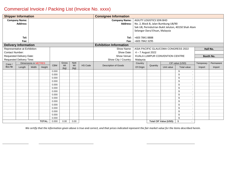## <span id="page-9-1"></span>Commercial Invoice / Packing List (Invoice No. xxxx)

<span id="page-9-0"></span>

| <b>Shipper Information</b> |                                 |                             |        | <b>Consignee Information</b> |                      |                                                     |                      |                               |                                |                                                 |                    |                                           |                  |           |
|----------------------------|---------------------------------|-----------------------------|--------|------------------------------|----------------------|-----------------------------------------------------|----------------------|-------------------------------|--------------------------------|-------------------------------------------------|--------------------|-------------------------------------------|------------------|-----------|
|                            | <b>Company Name:</b>            |                             |        |                              | <b>Company Name:</b> | <b>AGILITY LOGISTICS SDN BHD</b>                    |                      |                               |                                |                                                 |                    |                                           |                  |           |
|                            | <b>Address:</b>                 |                             |        |                              | <b>Address:</b>      | No. 2, Block B, Jalan Bumbung U8/90                 |                      |                               |                                |                                                 |                    |                                           |                  |           |
|                            |                                 |                             |        |                              |                      | Sek U8, Perindutrian Bukit Jeluton, 40150 Shah Alam |                      |                               |                                |                                                 |                    |                                           |                  |           |
|                            |                                 |                             |        |                              |                      |                                                     |                      |                               | Selangor Darul Ehsan, Malaysia |                                                 |                    |                                           |                  |           |
|                            |                                 |                             |        |                              |                      |                                                     |                      |                               |                                |                                                 |                    |                                           |                  |           |
|                            | Tel:                            |                             |        |                              |                      |                                                     |                      | Tel:                          | +603 7841 8888                 |                                                 |                    |                                           |                  |           |
|                            | Fax:                            |                             |        |                              |                      |                                                     |                      | Fax:                          | +603 7842 3295                 |                                                 |                    |                                           |                  |           |
|                            | <b>Delivery Information</b>     |                             |        |                              |                      |                                                     |                      | <b>Exhibition Information</b> |                                |                                                 |                    |                                           |                  |           |
|                            | Representative at Exhibition:   |                             |        |                              |                      |                                                     |                      | Show Name:                    |                                | ASIA PACIFIC GLAUCOMA CONGRESS 2022<br>Hall No. |                    |                                           |                  |           |
| Contact Number:            |                                 |                             |        |                              |                      |                                                     |                      | Show Date:                    | 4 - 7 August 2022              |                                                 |                    |                                           |                  |           |
|                            | <b>Requested Delivery Date:</b> |                             |        |                              |                      |                                                     |                      | Show Venue:                   | KUALA LUMPUR CONVENTION CENTRE |                                                 |                    |                                           | <b>Booth No.</b> |           |
|                            | <b>Requested Delivery Time:</b> |                             |        |                              |                      |                                                     |                      | Show City / Country:          | Malaysia                       |                                                 |                    |                                           |                  |           |
|                            |                                 | <b>Dimensions in METRES</b> |        |                              | Gross                | <b>Nett</b>                                         |                      |                               |                                | Country                                         |                    | CIF value (USD)                           |                  | Permanent |
| Case /<br>Box No           | Length                          | Width                       | Height | <b>CBM</b>                   | Wt                   | <b>HS Code</b><br>Wt                                | Description of Goods | Of Origin                     | Quantity                       | Unit value                                      | <b>Total value</b> | Temporary<br>Import                       | Import           |           |
|                            |                                 |                             |        | 0.000                        | (kg)                 | (kq)                                                |                      |                               |                                |                                                 |                    | \$                                        |                  |           |
|                            |                                 |                             |        | 0.000                        |                      |                                                     |                      |                               |                                |                                                 |                    | $\mathcal{S}$                             |                  |           |
|                            |                                 |                             |        | 0.000                        |                      |                                                     |                      |                               |                                |                                                 |                    | $\mathcal{S}$                             |                  |           |
|                            |                                 |                             |        | 0.000                        |                      |                                                     |                      |                               |                                |                                                 |                    | $\mathfrak{s}$                            |                  |           |
|                            |                                 |                             |        | 0.000                        |                      |                                                     |                      |                               |                                |                                                 |                    | \$<br>$\overline{\phantom{a}}$            |                  |           |
|                            |                                 |                             |        | 0.000                        |                      |                                                     |                      |                               |                                |                                                 |                    | \$                                        |                  |           |
|                            |                                 |                             |        | 0.000                        |                      |                                                     |                      |                               |                                |                                                 |                    | \$<br>$\overline{\phantom{a}}$            |                  |           |
|                            |                                 |                             |        | 0.000                        |                      |                                                     |                      |                               |                                |                                                 |                    | $\mathcal{S}$                             |                  |           |
|                            |                                 |                             |        | 0.000                        |                      |                                                     |                      |                               |                                |                                                 |                    | $\mathcal{S}$<br>$\sim$                   |                  |           |
|                            |                                 |                             |        | 0.000                        |                      |                                                     |                      |                               |                                |                                                 |                    | $\mathcal{S}$<br>$\overline{\phantom{a}}$ |                  |           |
|                            |                                 |                             |        | 0.000                        |                      |                                                     |                      |                               |                                |                                                 |                    | $\mathcal{S}$<br>$\overline{\phantom{a}}$ |                  |           |
|                            |                                 |                             |        | 0.000                        |                      |                                                     |                      |                               |                                |                                                 |                    | $\mathcal{S}$<br>$\overline{\phantom{a}}$ |                  |           |
|                            |                                 |                             |        | 0.000                        |                      |                                                     |                      |                               |                                |                                                 |                    | $\mathbb{S}$                              |                  |           |
|                            |                                 |                             |        | 0.000                        |                      |                                                     |                      |                               |                                |                                                 |                    | $\mathcal{S}$<br>$\sim$                   |                  |           |
|                            |                                 |                             |        | 0.000                        |                      |                                                     |                      |                               |                                |                                                 |                    | $\mathfrak{s}$                            |                  |           |
| <b>TOTAL:</b>              |                                 | 0.000                       | 0.00   | 0.00                         |                      |                                                     |                      |                               | <b>Total CIF Value (USD):</b>  | \$<br>$\sim$                                    |                    |                                           |                  |           |

*We certify that the information given above is true and correct, and that prices indicated represent the fair market value for the items described herein.*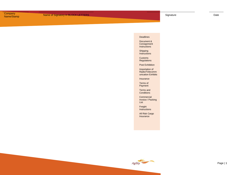#### Deadlines

Document & **Consignment** Instructions

**Shipping** Instructions

Customs Regulations

Post Exhibition

Importation of Radio/Telecomm unication Exhibits

Insurance

Terms of Payment

[Terms and](#page-8-1) **[Conditions](#page-8-1)** 

**Commercial** Invoice / Packing [List](#page-9-1)

[Freight](#page-11-1)  [Instructions](#page-11-1)

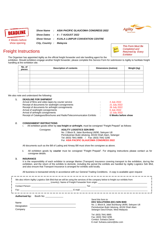<span id="page-11-1"></span>



<span id="page-11-0"></span>Freight Instructions

*This Form Must Be* hote *Completed and Returned by Every Exhibitor*

The Organiser has appointed Agility as the official freight forwarder and site handling agent for the exhibition. Should exhibitors engage another freight forwarder, please complete this Service Form for submission to Agility to facilitate freight handling at the exhibition site.

| No. of<br>pieces | <b>Description of contents</b> | <b>Dimensions (metres)</b> | Weight (kg) |
|------------------|--------------------------------|----------------------------|-------------|
|                  |                                |                            |             |
|                  |                                |                            |             |
|                  |                                |                            |             |
|                  |                                |                            |             |
|                  |                                |                            |             |
|                  |                                |                            |             |

We also note and understand the following:

|         | 4 July 2022         |
|---------|---------------------|
| $\cdot$ | 21 July 2022        |
| $\cdot$ | 26 July 2022        |
|         | 6 July 2022         |
|         | 12 July 2022        |
| - 11    | 6 Weeks before show |
|         |                     |

#### **2. CONSIGNMENT INSTRUCTIONS**

i. All exhibition goods either by **sea freight or airfreight**, must be consigned "Freight Prepaid" as follows:

#### Consignee: **AGILITY LOGISTICS SDN BHD** No. 2 Block B, Jalan Bumbung U8/90, Seksyen U8 Perindustrian Bukit Jelutong, 40150 Shah Alam, Selangor Tel: (603) 7841 8888 / Fax: (603) 7842 3295 For: **ASIA PACIFIC GLAUCOMA CONGRESS 2022**

All documents such as the Bill of Lading and Airway Bill must show the consignee as above.

ii. All exhibition goods by **courier** must be consigned "Freight Prepaid". For shipping instructions please contact us for consignee details.

#### **3. INSURANCE**

It is the responsibility of each exhibitor to arrange Marine (Transport) Insurance covering transport to the exhibition, during the exhibition, and the return of the exhibits to domicile, including the period the exhibits are handled by Agility Logistics Sdn Bhd, and also ensure that Transport Insurance is arranged for exhibits sold locally.

All business is transacted strictly in accordance with our General Trading Conditions. A copy is available upon request

|                          | Contact Person: New York 2014 19:00: New York 2014 19:00: New York 2014 19:00: New York 2014 19:00: New York 2014 19:00: New York 2014 19:00: New York 2014 19:00: New York 2014 19:00: New York 2014 19:00: New York 2014 19: |
|--------------------------|--------------------------------------------------------------------------------------------------------------------------------------------------------------------------------------------------------------------------------|
|                          | Fax: E-mail: E-mail: E-mail: E-mail: E-mail: E-mail: E-mail: E-mail: E-mail: E-mail: E-mail: E-mail: E-mail: E-mail: E-mail: E-mail: E-mail: E-mail: E-mail: E-mail: E-mail: E-mail: E-mail: E-mail: E-mail: E-mail: E-mail: E |
| Authorised by: Booth No: |                                                                                                                                                                                                                                |
|                          | Send this form to:<br><b>DSV SOLUTIONS (DC) SDN BHD</b>                                                                                                                                                                        |
| Name<br>Designation      | No. 2, Block B, Jalan Bumbung U8/90, Seksyen U8                                                                                                                                                                                |
|                          | <u> 1980 - Jan Samuel Barbara, martin da shekara 1980 - An tsara 1980 - An tsara 1980 - An tsara 1980 - An tsara</u><br>Perindustrian Bukit Jelutong, 40150 Shah Alam                                                          |
| Company                  | Selangor Darul Ehsan, West Malaysia<br>Tel: (603) 7841 8865<br>Fax: (603) 7842 3295                                                                                                                                            |
|                          | Contact: Suhaiza Zainor                                                                                                                                                                                                        |

E-mail: Suhaiza.zainor@dsv.com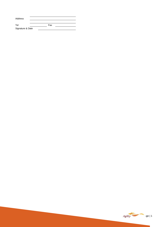| Address          |     |  |
|------------------|-----|--|
|                  |     |  |
| Tel              | Fax |  |
| Signature & Date |     |  |

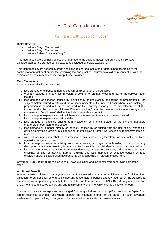

## <span id="page-13-1"></span>All Risk Cargo Insurance

## For Transit with Exhibition Cover

#### <span id="page-13-0"></span>**Risks Covered**

- ‒ Institute Cargo Clauses (A)
- ‒ Institute Cargo Clauses (Air)
- ‒ Institute Strikes Clauses (Cargo)

This insurance covers all risks of loss of or damage to the subject-matter insured including 60 days exhibition/temporary storage period except as excluded by below exclusions.

This insurance covers general average and salvage charges, adjusted or determined according to the contract of affreightment and/or the governing law and practice, incurred to avoid or in connection with the avoidance of loss from any cause except those excluded.

#### **Main Exclusions**

In no case shall this insurance cover

- i. loss damage or expense attributable to willful misconduct of the Assured
- ii. ordinary leakage, ordinary loss in weight or volume, or ordinary wear and tear of the subject-matter insured
- iii. loss damage or expense caused by insufficiency or unsuitability of packing or preparation of the subject matter insured to withstand the ordinary incidents of the insured transit where such packing or preparation is carried out by the Assured or their employees or prior to the attachment of this insurance (for the purpose of these Clauses "packing" shall be deemed to include stowage in a container and "employees" shall not include independent contractors)
- iv. loss damage or expense caused by inherent vice or nature of the subject-matter insured
- v. loss damage or expense caused by delay,
- vi. loss damage or expense arising from insolvency or financial default of the owners managers charterers or operators of the vessel
- vii. loss damage or expense directly or indirectly caused by or arising from the use of any weapon or device employing atomic or nuclear fission and/or fusion or other like reaction or radioactive force or matter.
- viii. war civil war revolution rebellion insurrection, or civil strife arising therefrom, or any hostile act by or against a belligerent power
- ix. loss damage or expense arising from the absence, shortage or withholding of labour of any description whatsoever resulting from any strike, lockout, labour disturbance, riot or civil commotion.
- x. loss damage or expense arising from water damage, damage to paintwork, ordinary wear and tear, chipping, denting, scratching, marring, bruising and loss, damage or expense caused by rust, oxidation and/or discolouration howsoever arising, especially in relation to used items.

Coverage: **1 or 2 Way(s)** Transit includes 60 days exhibition and incidental storage forming part of the transit.

#### **Additional Benefit**

Where the extent of loss or damage is such that the Assured is unable to participate in the Exhibition then valuation hereunder shall extend to include any reasonable expenses already incurred by the Assured at the time of loss appertaining directly to the Exhibition up to a maximum of USD 100,000 any one Exhibition or 10% of the sum insured at risk, any one Exhibition any one time, whichever is the lower amount.

2 Ways insurance coverage can be arranged from origin before cargo is uplifted from origin (apart from foreign restricted countries) and where shipper has insurable interest for the cargo. For such coverage, evidence of proper packing of cargo must be produced for verification in case of claims.